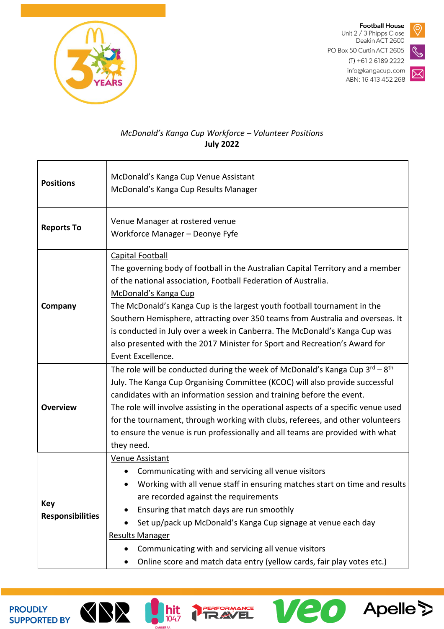

**Football House** Unit 2 / 3 Phipps Close Deakin ACT 2600 PO Box 50 Curtin ACT 2605  $(T) + 61261892222$ info@kangacup.com ABN: 16 413 452 268

**Veo** Apelle



## *McDonald's Kanga Cup Workforce – Volunteer Positions* **July 2022**

| <b>Positions</b>               | McDonald's Kanga Cup Venue Assistant<br>McDonald's Kanga Cup Results Manager                                                                                                                                                                                                                                                                                                                                                                                                                                                                        |
|--------------------------------|-----------------------------------------------------------------------------------------------------------------------------------------------------------------------------------------------------------------------------------------------------------------------------------------------------------------------------------------------------------------------------------------------------------------------------------------------------------------------------------------------------------------------------------------------------|
| <b>Reports To</b>              | Venue Manager at rostered venue<br>Workforce Manager - Deonye Fyfe                                                                                                                                                                                                                                                                                                                                                                                                                                                                                  |
| Company                        | <b>Capital Football</b><br>The governing body of football in the Australian Capital Territory and a member<br>of the national association, Football Federation of Australia.<br>McDonald's Kanga Cup<br>The McDonald's Kanga Cup is the largest youth football tournament in the<br>Southern Hemisphere, attracting over 350 teams from Australia and overseas. It<br>is conducted in July over a week in Canberra. The McDonald's Kanga Cup was<br>also presented with the 2017 Minister for Sport and Recreation's Award for<br>Event Excellence. |
| <b>Overview</b>                | The role will be conducted during the week of McDonald's Kanga Cup 3rd - 8th<br>July. The Kanga Cup Organising Committee (KCOC) will also provide successful<br>candidates with an information session and training before the event.<br>The role will involve assisting in the operational aspects of a specific venue used<br>for the tournament, through working with clubs, referees, and other volunteers<br>to ensure the venue is run professionally and all teams are provided with what<br>they need.                                      |
| Key<br><b>Responsibilities</b> | Venue Assistant<br>Communicating with and servicing all venue visitors<br>Working with all venue staff in ensuring matches start on time and results<br>are recorded against the requirements<br>Ensuring that match days are run smoothly<br>Set up/pack up McDonald's Kanga Cup signage at venue each day<br>Results Manager<br>Communicating with and servicing all venue visitors<br>Online score and match data entry (yellow cards, fair play votes etc.)                                                                                     |